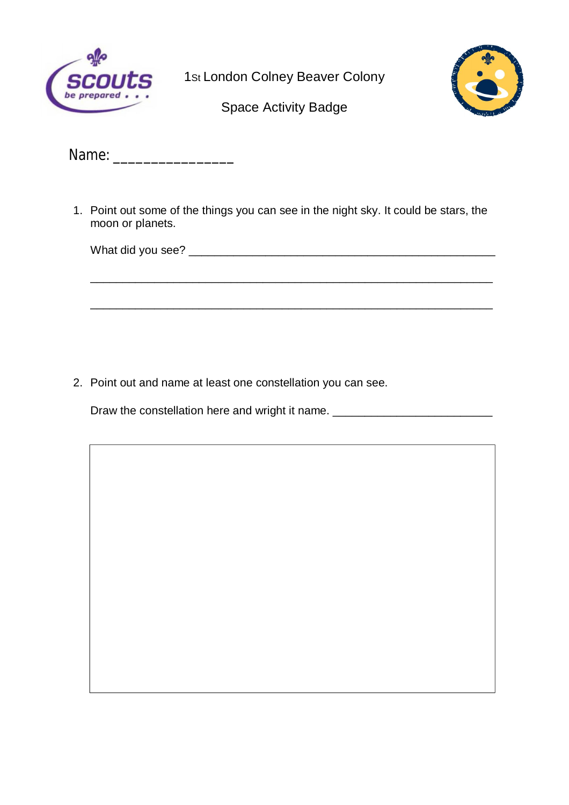

1<sub>St</sub> London Colney Beaver Colony



Space Activity Badge

Name: \_\_\_\_\_\_\_\_\_\_\_\_\_\_\_\_

1. Point out some of the things you can see in the night sky. It could be stars, the moon or planets.

\_\_\_\_\_\_\_\_\_\_\_\_\_\_\_\_\_\_\_\_\_\_\_\_\_\_\_\_\_\_\_\_\_\_\_\_\_\_\_\_\_\_\_\_\_\_\_\_\_\_\_\_\_\_\_\_\_\_\_\_\_\_\_

\_\_\_\_\_\_\_\_\_\_\_\_\_\_\_\_\_\_\_\_\_\_\_\_\_\_\_\_\_\_\_\_\_\_\_\_\_\_\_\_\_\_\_\_\_\_\_\_\_\_\_\_\_\_\_\_\_\_\_\_\_\_\_

What did you see? **What did you see?** 

2. Point out and name at least one constellation you can see.

Draw the constellation here and wright it name. \_\_\_\_\_\_\_\_\_\_\_\_\_\_\_\_\_\_\_\_\_\_\_\_\_\_\_\_\_\_\_\_